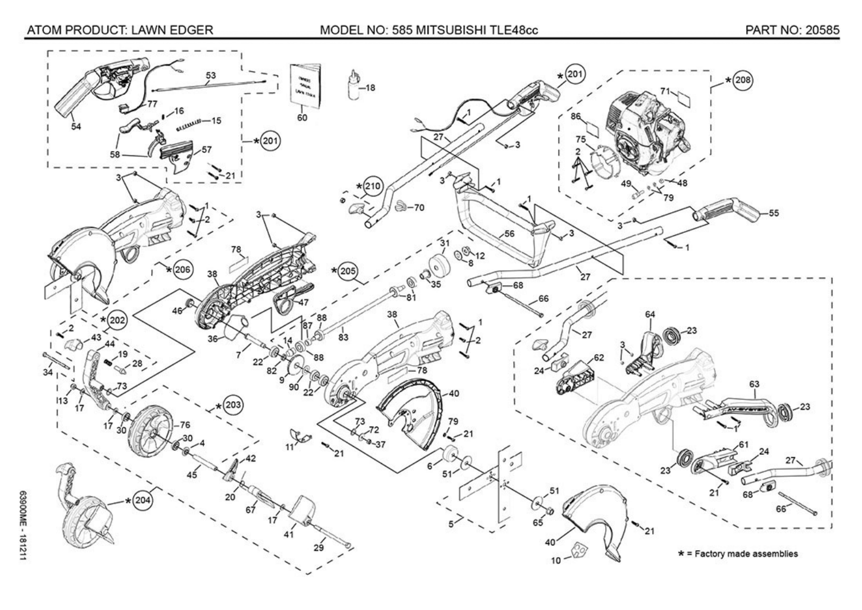